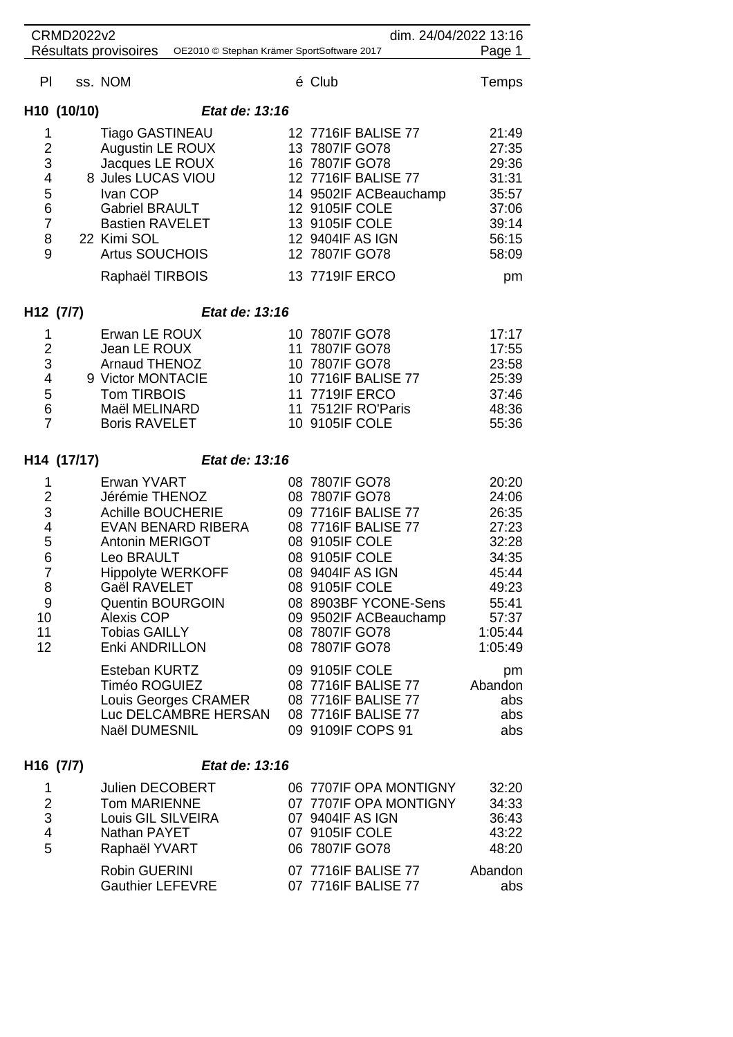| <b>CRMD2022v2</b>                                                                                             |                                                                                                                                                                                                                                                        |                                                                                                                                                                                                                                               | dim. 24/04/2022 13:16                                                                                        |
|---------------------------------------------------------------------------------------------------------------|--------------------------------------------------------------------------------------------------------------------------------------------------------------------------------------------------------------------------------------------------------|-----------------------------------------------------------------------------------------------------------------------------------------------------------------------------------------------------------------------------------------------|--------------------------------------------------------------------------------------------------------------|
|                                                                                                               | Résultats provisoires OE2010 © Stephan Krämer SportSoftware 2017                                                                                                                                                                                       |                                                                                                                                                                                                                                               | Page 1                                                                                                       |
| PI                                                                                                            | ss. NOM                                                                                                                                                                                                                                                | é Club                                                                                                                                                                                                                                        | Temps                                                                                                        |
| H10 (10/10)                                                                                                   | Etat de: 13:16                                                                                                                                                                                                                                         |                                                                                                                                                                                                                                               |                                                                                                              |
| 1<br>$\overline{2}$<br>3<br>$\overline{4}$<br>5<br>6<br>$\overline{7}$<br>8<br>9                              | <b>Tiago GASTINEAU</b><br>Augustin LE ROUX<br>Jacques LE ROUX<br>8 Jules LUCAS VIOU<br>Ivan COP<br>Gabriel BRAULT<br><b>Bastien RAVELET</b><br>22 Kimi SOL<br><b>Artus SOUCHOIS</b><br>Raphaël TIRBOIS                                                 | 12 7716IF BALISE 77<br>13 7807IF GO78<br>16 7807IF GO78<br>12 7716IF BALISE 77<br>14 9502IF ACBeauchamp<br>12 9105IF COLE<br>13 9105IF COLE<br>12 9404IF AS IGN<br>12 7807IF GO78<br>13 7719IF ERCO                                           | 21:49<br>27:35<br>29:36<br>31:31<br>35:57<br>37:06<br>39:14<br>56:15<br>58:09<br>pm                          |
| H <sub>12</sub> (7/7)                                                                                         | Etat de: 13:16                                                                                                                                                                                                                                         |                                                                                                                                                                                                                                               |                                                                                                              |
| 1<br>$\overline{2}$<br>$\ensuremath{\mathsf{3}}$<br>4<br>5<br>6<br>$\overline{7}$                             | Erwan LE ROUX<br>Jean LE ROUX<br>Arnaud THENOZ<br>9 Victor MONTACIE<br><b>Tom TIRBOIS</b><br>Maël MELINARD<br><b>Boris RAVELET</b>                                                                                                                     | 10 7807IF GO78<br>11 7807IF GO78<br>10 7807IF GO78<br>10 7716IF BALISE 77<br>11 7719IF ERCO<br>11 7512IF RO'Paris<br>10 9105IF COLE                                                                                                           | 17:17<br>17:55<br>23:58<br>25:39<br>37:46<br>48:36<br>55:36                                                  |
| H14 (17/17)                                                                                                   | Etat de: 13:16                                                                                                                                                                                                                                         |                                                                                                                                                                                                                                               |                                                                                                              |
| 1<br>$\overline{2}$<br>$\ensuremath{\mathsf{3}}$<br>4<br>5<br>6<br>$\overline{7}$<br>8<br>9<br>10<br>11<br>12 | Erwan YVART<br>Jérémie THENOZ<br><b>Achille BOUCHERIE</b><br>EVAN BENARD RIBERA<br>Antonin MERIGOT<br>Leo BRAULT<br><b>Hippolyte WERKOFF</b><br>Gaël RAVELET<br><b>Quentin BOURGOIN</b><br><b>Alexis COP</b><br><b>Tobias GAILLY</b><br>Enki ANDRILLON | 08 7807IF GO78<br>08 7807IF GO78<br>09 7716IF BALISE 77<br>08 7716IF BALISE 77<br>08 9105IF COLE<br>08 9105IF COLE<br>08 9404IF AS IGN<br>08 9105IF COLE<br>08 8903BF YCONE-Sens<br>09 9502IF ACBeauchamp<br>08 7807IF GO78<br>08 7807IF GO78 | 20:20<br>24:06<br>26:35<br>27:23<br>32:28<br>34:35<br>45:44<br>49:23<br>55:41<br>57:37<br>1:05:44<br>1:05:49 |
|                                                                                                               | Esteban KURTZ<br>Timéo ROGUIEZ<br>Louis Georges CRAMER<br>Luc DELCAMBRE HERSAN<br>Naël DUMESNIL                                                                                                                                                        | 09 9105IF COLE<br>08 7716IF BALISE 77<br>08 7716IF BALISE 77<br>08 7716IF BALISE 77<br>09 9109IF COPS 91                                                                                                                                      | pm<br>Abandon<br>abs<br>abs<br>abs                                                                           |
| H <sub>16</sub> (7/7)                                                                                         | Etat de: 13:16                                                                                                                                                                                                                                         |                                                                                                                                                                                                                                               |                                                                                                              |
| 1<br>$\overline{2}$<br>$\mathfrak{B}$<br>$\overline{4}$<br>5                                                  | <b>Julien DECOBERT</b><br><b>Tom MARIENNE</b><br>Louis GIL SILVEIRA<br>Nathan PAYET<br>Raphaël YVART                                                                                                                                                   | 06 7707IF OPA MONTIGNY<br>07 7707IF OPA MONTIGNY<br>07 9404IF AS IGN<br>07 9105IF COLE<br>06 7807IF GO78                                                                                                                                      | 32:20<br>34:33<br>36:43<br>43:22<br>48:20                                                                    |
|                                                                                                               | Robin GUERINI<br><b>Gauthier LEFEVRE</b>                                                                                                                                                                                                               | 07 7716IF BALISE 77<br>07 7716IF BALISE 77                                                                                                                                                                                                    | Abandon<br>abs                                                                                               |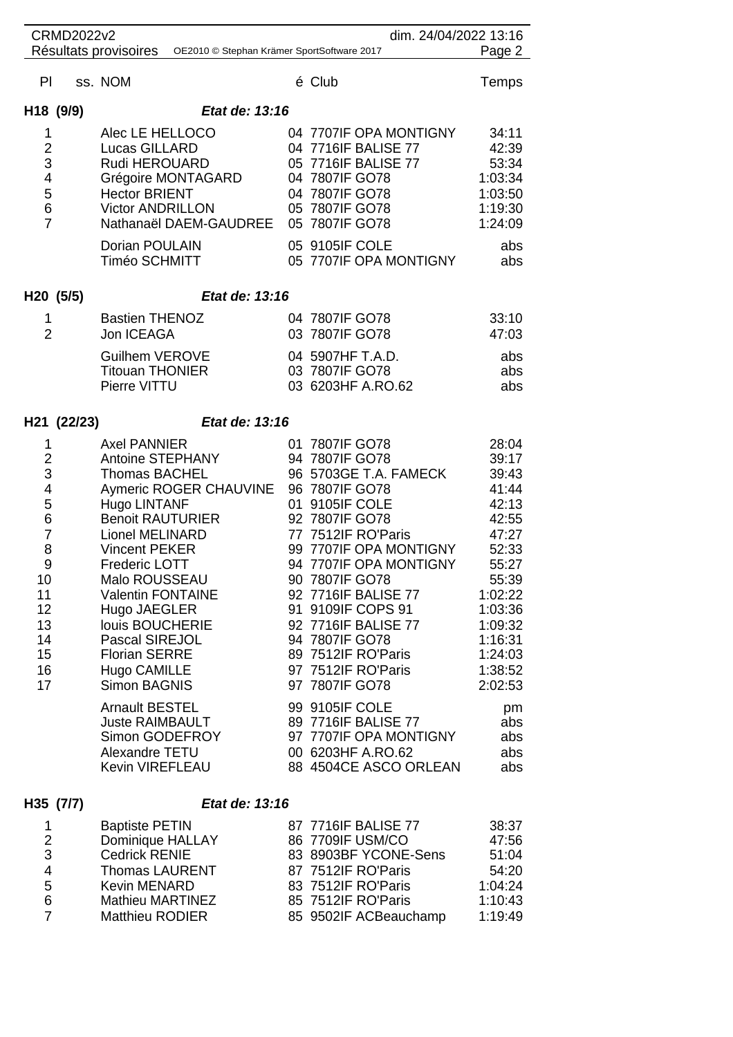| <b>CRMD2022v2</b>                                                                                      |                                                                                                                                                                                                                                                                                                                                                                                                                                                                                           | dim. 24/04/2022 13:16                                                                                                                                                                                                                                                                                                                                                                                                                                                           |                                                                                                                                                                                                       |
|--------------------------------------------------------------------------------------------------------|-------------------------------------------------------------------------------------------------------------------------------------------------------------------------------------------------------------------------------------------------------------------------------------------------------------------------------------------------------------------------------------------------------------------------------------------------------------------------------------------|---------------------------------------------------------------------------------------------------------------------------------------------------------------------------------------------------------------------------------------------------------------------------------------------------------------------------------------------------------------------------------------------------------------------------------------------------------------------------------|-------------------------------------------------------------------------------------------------------------------------------------------------------------------------------------------------------|
|                                                                                                        | Résultats provisoires<br>OE2010 © Stephan Krämer SportSoftware 2017                                                                                                                                                                                                                                                                                                                                                                                                                       |                                                                                                                                                                                                                                                                                                                                                                                                                                                                                 | Page 2                                                                                                                                                                                                |
| PI.                                                                                                    | ss. NOM                                                                                                                                                                                                                                                                                                                                                                                                                                                                                   | é Club                                                                                                                                                                                                                                                                                                                                                                                                                                                                          | <b>Temps</b>                                                                                                                                                                                          |
| H <sub>18</sub> (9/9)                                                                                  | Etat de: 13:16                                                                                                                                                                                                                                                                                                                                                                                                                                                                            |                                                                                                                                                                                                                                                                                                                                                                                                                                                                                 |                                                                                                                                                                                                       |
| 1<br>2<br>3<br>4<br>5<br>6<br>$\overline{7}$                                                           | Alec LE HELLOCO<br>Lucas GILLARD<br>Rudi HEROUARD<br>Grégoire MONTAGARD<br><b>Hector BRIENT</b><br><b>Victor ANDRILLON</b><br>Nathanaël DAEM-GAUDREE 05 7807IF GO78<br>Dorian POULAIN<br>Timéo SCHMITT                                                                                                                                                                                                                                                                                    | 04 7707IF OPA MONTIGNY<br>04 7716IF BALISE 77<br>05 7716IF BALISE 77<br>04 7807IF GO78<br>04 7807IF GO78<br>05 7807IF GO78<br>05 9105IF COLE<br>05 7707IF OPA MONTIGNY                                                                                                                                                                                                                                                                                                          | 34:11<br>42:39<br>53:34<br>1:03:34<br>1:03:50<br>1:19:30<br>1:24:09<br>abs<br>abs                                                                                                                     |
| H <sub>20</sub> (5/5)                                                                                  | Etat de: 13:16                                                                                                                                                                                                                                                                                                                                                                                                                                                                            |                                                                                                                                                                                                                                                                                                                                                                                                                                                                                 |                                                                                                                                                                                                       |
| 1<br>$\overline{2}$                                                                                    | <b>Bastien THENOZ</b><br>Jon ICEAGA                                                                                                                                                                                                                                                                                                                                                                                                                                                       | 04 7807IF GO78<br>03 7807IF GO78                                                                                                                                                                                                                                                                                                                                                                                                                                                | 33:10<br>47:03                                                                                                                                                                                        |
|                                                                                                        | <b>Guilhem VEROVE</b><br><b>Titouan THONIER</b><br>Pierre VITTU                                                                                                                                                                                                                                                                                                                                                                                                                           | 04 5907HF T.A.D.<br>03 7807IF GO78<br>03 6203HF A.RO.62                                                                                                                                                                                                                                                                                                                                                                                                                         | abs<br>abs<br>abs                                                                                                                                                                                     |
| H21 (22/23)                                                                                            | Etat de: 13:16                                                                                                                                                                                                                                                                                                                                                                                                                                                                            |                                                                                                                                                                                                                                                                                                                                                                                                                                                                                 |                                                                                                                                                                                                       |
| 1<br>2<br>3<br>4<br>5<br>6<br>$\overline{7}$<br>8<br>9<br>10<br>11<br>12<br>13<br>14<br>15<br>16<br>17 | <b>Axel PANNIER</b><br>Antoine STEPHANY<br><b>Thomas BACHEL</b><br>Aymeric ROGER CHAUVINE<br>Hugo LINTANF<br><b>Benoit RAUTURIER</b><br><b>Lionel MELINARD</b><br><b>Vincent PEKER</b><br><b>Frederic LOTT</b><br>Malo ROUSSEAU<br><b>Valentin FONTAINE</b><br>Hugo JAEGLER<br>louis BOUCHERIE<br>Pascal SIREJOL<br><b>Florian SERRE</b><br>Hugo CAMILLE<br><b>Simon BAGNIS</b><br><b>Arnault BESTEL</b><br><b>Juste RAIMBAULT</b><br>Simon GODEFROY<br>Alexandre TETU<br>Kevin VIREFLEAU | 01 7807IF GO78<br>94 7807IF GO78<br>96 5703GE T.A. FAMECK<br>96 7807IF GO78<br>01 9105IF COLE<br>92 7807IF GO78<br>77 7512IF RO'Paris<br>99 7707IF OPA MONTIGNY<br>94 7707IF OPA MONTIGNY<br>90 7807IF GO78<br>92 7716IF BALISE 77<br>91 9109IF COPS 91<br>92 7716IF BALISE 77<br>94 7807IF GO78<br>89 7512IF RO'Paris<br>97 7512IF RO'Paris<br>97 7807IF GO78<br>99 9105IF COLE<br>89 7716IF BALISE 77<br>97 7707IF OPA MONTIGNY<br>00 6203HF A.RO.62<br>88 4504CE ASCO ORLEAN | 28:04<br>39:17<br>39:43<br>41:44<br>42:13<br>42:55<br>47:27<br>52:33<br>55:27<br>55:39<br>1:02:22<br>1:03:36<br>1:09:32<br>1:16:31<br>1:24:03<br>1:38:52<br>2:02:53<br>pm<br>abs<br>abs<br>abs<br>abs |
| H35 (7/7)                                                                                              | Etat de: 13:16                                                                                                                                                                                                                                                                                                                                                                                                                                                                            |                                                                                                                                                                                                                                                                                                                                                                                                                                                                                 |                                                                                                                                                                                                       |
|                                                                                                        |                                                                                                                                                                                                                                                                                                                                                                                                                                                                                           |                                                                                                                                                                                                                                                                                                                                                                                                                                                                                 |                                                                                                                                                                                                       |

| <b>Baptiste PETIN</b>   | 87 7716IF BALISE 77   | 38:37   |
|-------------------------|-----------------------|---------|
| Dominique HALLAY        | 86 7709IF USM/CO      | 47:56   |
| <b>Cedrick RENIE</b>    | 83 8903BF YCONE-Sens  | 51:04   |
| <b>Thomas LAURENT</b>   | 87 7512IF RO'Paris    | 54:20   |
| <b>Kevin MENARD</b>     | 83 7512 F RO'Paris    | 1:04:24 |
| <b>Mathieu MARTINEZ</b> | 85 7512IF RO'Paris    | 1:10:43 |
| <b>Matthieu RODIER</b>  | 85 9502IF ACBeauchamp | 1:19:49 |
|                         |                       |         |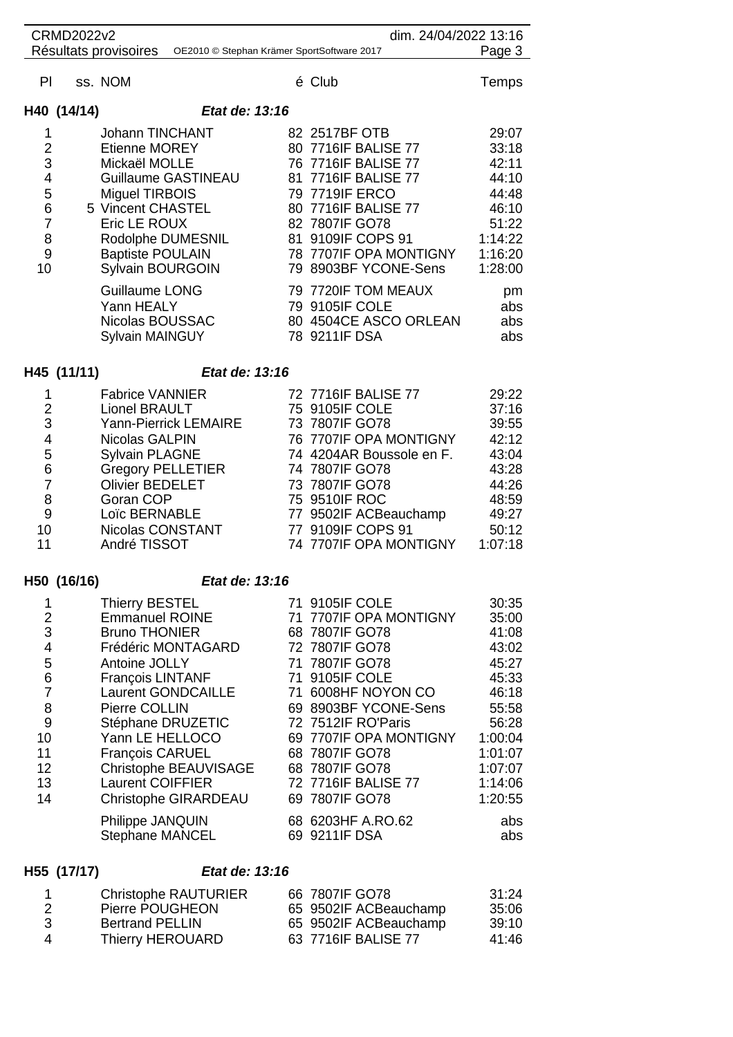|     | dim. 24/04/2022 13:16<br><b>CRMD2022v2</b> |                                                                     |  |                                                                                 |                         |
|-----|--------------------------------------------|---------------------------------------------------------------------|--|---------------------------------------------------------------------------------|-------------------------|
|     |                                            | Résultats provisoires<br>OE2010 © Stephan Krämer SportSoftware 2017 |  |                                                                                 | Page 3                  |
| PI. | ss. NOM                                    |                                                                     |  | é Club                                                                          | Temps                   |
|     | H40 (14/14)                                | Etat de: 13:16                                                      |  |                                                                                 |                         |
| 1   |                                            | <b>Johann TINCHANT</b>                                              |  | 82 2517BF OTB                                                                   | 29:07                   |
| 2   |                                            | <b>Etienne MOREY</b>                                                |  | 80 7716IF BALISE 77                                                             | 33:18                   |
| 3   |                                            | Mickaël MOLLE                                                       |  | 76 7716 F BALISE 77                                                             | 42:11                   |
| 4   |                                            | Guillaume GASTINEAU                                                 |  | 81 7716IF BALISE 77                                                             | 44:10                   |
| 5   |                                            | <b>Miguel TIRBOIS</b>                                               |  | 79 7719IF ERCO                                                                  | 44:48                   |
| 6   |                                            | 5 Vincent CHASTEL                                                   |  | 80 7716IF BALISE 77                                                             | 46:10                   |
| 7   |                                            | Eric LE ROUX                                                        |  | 82 7807IF GO78                                                                  | 51:22                   |
| 8   |                                            | Rodolphe DUMESNIL                                                   |  | 81 9109IF COPS 91                                                               | 1:14:22                 |
| 9   |                                            | <b>Baptiste POULAIN</b>                                             |  | 78 7707IF OPA MONTIGNY                                                          | 1:16:20                 |
| 10  |                                            | Sylvain BOURGOIN                                                    |  | 79 8903BF YCONE-Sens                                                            | 1:28:00                 |
|     |                                            | Guillaume LONG<br>Yann HEALY<br>Nicolas BOUSSAC<br>Sylvain MAINGUY  |  | 79 7720IF TOM MEAUX<br>79 9105IF COLE<br>80 4504CE ASCO ORLEAN<br>78 9211IF DSA | pm<br>abs<br>abs<br>abs |

# **H45 (11/11)** *Etat de: 13:16*

|                | <b>Fabrice VANNIER</b>   | 72 7716 F BALISE 77      | 29:22   |
|----------------|--------------------------|--------------------------|---------|
| 2              | Lionel BRAULT            | 75 9105IF COLE           | 37:16   |
| 3              | Yann-Pierrick LEMAIRE    | 73 7807IF GO78           | 39:55   |
| $\overline{4}$ | Nicolas GALPIN           | 76 7707IF OPA MONTIGNY   | 42:12   |
| 5              | Sylvain PLAGNE           | 74 4204AR Boussole en F. | 43:04   |
| 6              | <b>Gregory PELLETIER</b> | 74 7807IF GO78           | 43:28   |
| 7              | <b>Olivier BEDELET</b>   | 73 7807IF GO78           | 44:26   |
| 8              | Goran COP                | 75 9510IF ROC            | 48:59   |
| 9              | Loïc BERNABLE            | 77 9502IF ACBeauchamp    | 49:27   |
| 10             | Nicolas CONSTANT         | 77 9109IF COPS 91        | 50:12   |
| 11             | André TISSOT             | 74 7707IF OPA MONTIGNY   | 1:07:18 |
|                |                          |                          |         |

# **H50 (16/16)** *Etat de: 13:16*

|                | <b>Thierry BESTEL</b>       | 71 9105IF COLE         | 30:35   |
|----------------|-----------------------------|------------------------|---------|
| $\overline{2}$ | <b>Emmanuel ROINE</b>       | 71 7707IF OPA MONTIGNY | 35:00   |
| 3              | <b>Bruno THONIER</b>        | 68 7807IF GO78         | 41:08   |
| 4              | Frédéric MONTAGARD          | 72 7807IF GO78         | 43:02   |
| 5              | Antoine JOLLY               | 71 7807IF GO78         | 45:27   |
| 6              | François LINTANF            | 71 9105IF COLE         | 45:33   |
|                | Laurent GONDCAILLE          | 71 6008HF NOYON CO     | 46:18   |
| 8              | Pierre COLLIN               | 69 8903BF YCONE-Sens   | 55:58   |
| 9              | Stéphane DRUZETIC           | 72 7512IF RO'Paris     | 56:28   |
| 10             | Yann LE HELLOCO             | 69 7707IF OPA MONTIGNY | 1:00:04 |
| 11             | François CARUEL             | 68 7807IF GO78         | 1:01:07 |
| 12             | Christophe BEAUVISAGE       | 68 7807IF GO78         | 1:07:07 |
| 13             | Laurent COIFFIER            | 72 7716IF BALISE 77    | 1:14:06 |
| 14             | <b>Christophe GIRARDEAU</b> | 69 7807IF GO78         | 1:20:55 |
|                | Philippe JANQUIN            | 68 6203HF A.RO.62      | abs     |
|                | <b>Stephane MANCEL</b>      | 69 9211IF DSA          | abs     |

## **H55 (17/17)** *Etat de: 13:16*

|                    | Christophe RAUTURIER   | 66 7807 F GO78        | 31:24 |
|--------------------|------------------------|-----------------------|-------|
|                    | Pierre POUGHEON        | 65 9502IF ACBeauchamp | 35:06 |
| -3                 | <b>Bertrand PELLIN</b> | 65 9502IF ACBeauchamp | 39:10 |
| $\mathbf{\Lambda}$ | Thierry HEROUARD       | 63 7716 F BALISE 77   | 41:46 |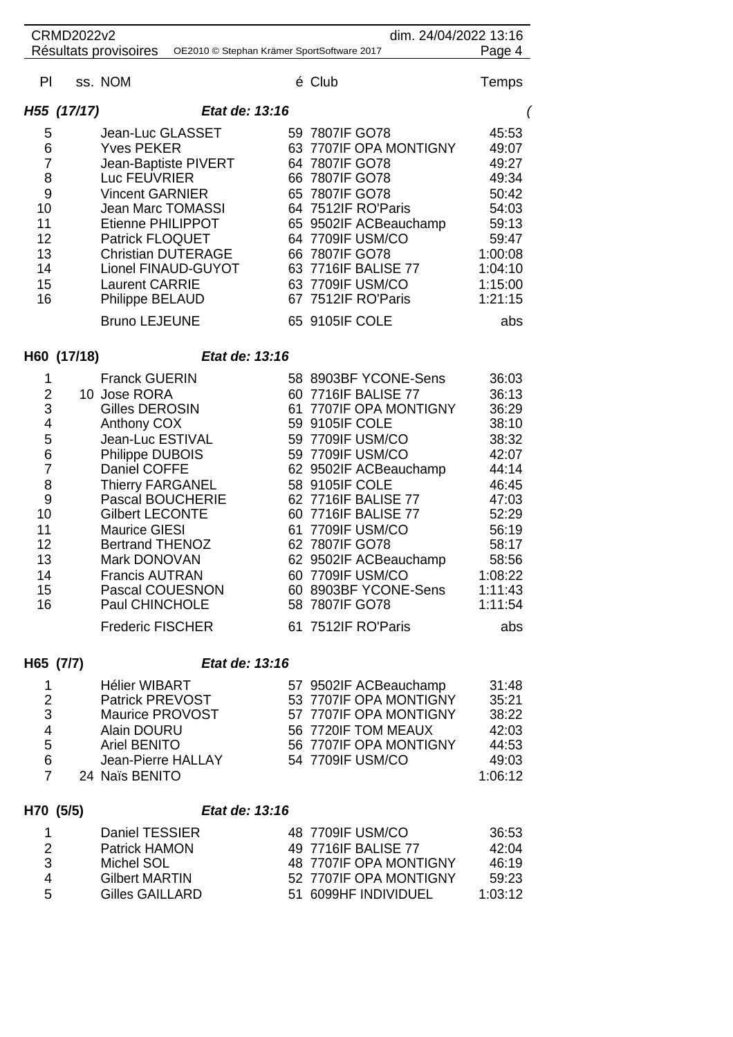| <b>CRMD2022v2</b> |                           |                |                                            | dim. 24/04/2022 13:16 |         |
|-------------------|---------------------------|----------------|--------------------------------------------|-----------------------|---------|
|                   | Résultats provisoires     |                | OE2010 © Stephan Krämer SportSoftware 2017 |                       | Page 4  |
| PI.               | ss. NOM                   |                | é Club                                     |                       | Temps   |
| H55 (17/17)       |                           | Etat de: 13:16 |                                            |                       |         |
| 5                 | Jean-Luc GLASSET          |                | 59 7807 IF GO78                            |                       | 45:53   |
| 6                 | <b>Yves PEKER</b>         |                | 63 7707IF OPA MONTIGNY                     |                       | 49:07   |
| 7                 | Jean-Baptiste PIVERT      |                | 64 7807 IF GO78                            |                       | 49:27   |
| 8                 | Luc FEUVRIER              |                | 66 7807IF GO78                             |                       | 49:34   |
| 9                 | <b>Vincent GARNIER</b>    |                | 65 7807IF GO78                             |                       | 50:42   |
| 10                | Jean Marc TOMASSI         |                | 64 7512IF RO'Paris                         |                       | 54:03   |
| 11                | Etienne PHILIPPOT         |                | 65 9502IF ACBeauchamp                      |                       | 59:13   |
| 12                | <b>Patrick FLOQUET</b>    |                | 64 7709IF USM/CO                           |                       | 59:47   |
| 13                | <b>Christian DUTERAGE</b> |                | 66 7807IF GO78                             |                       | 1:00:08 |
| 14                | Lionel FINAUD-GUYOT       |                | 63 7716IF BALISE 77                        |                       | 1:04:10 |
| 15                | <b>Laurent CARRIE</b>     |                | 63 7709IF USM/CO                           |                       | 1:15:00 |
| 16                | Philippe BELAUD           |                | 67 7512IF RO'Paris                         |                       | 1:21:15 |
|                   | <b>Bruno LEJEUNE</b>      |                | 65 9105IF COLE                             |                       | abs     |

## **H60 (17/18)** *Etat de: 13:16*

|                | <b>Franck GUERIN</b>    | 58 8903BF YCONE-Sens    | 36:03   |
|----------------|-------------------------|-------------------------|---------|
| $\overline{2}$ | 10 Jose RORA            | 60 7716IF BALISE 77     | 36:13   |
| 3              | Gilles DEROSIN          | 61 7707 IF OPA MONTIGNY | 36:29   |
| 4              | Anthony COX             | 59 9105IF COLE          | 38:10   |
| 5              | Jean-Luc ESTIVAL        | 59 7709IF USM/CO        | 38:32   |
| 6              | Philippe DUBOIS         | 59 7709IF USM/CO        | 42:07   |
| 7              | Daniel COFFE            | 62 9502IF ACBeauchamp   | 44:14   |
| 8              | <b>Thierry FARGANEL</b> | 58 9105IF COLE          | 46:45   |
| 9              | Pascal BOUCHERIE        | 62 7716 F BALISE 77     | 47:03   |
| 10             | <b>Gilbert LECONTE</b>  | 60 7716 F BALISE 77     | 52:29   |
| 11             | <b>Maurice GIESI</b>    | 61 7709IF USM/CO        | 56:19   |
| 12             | Bertrand THENOZ         | 62 7807IF GO78          | 58:17   |
| 13             | Mark DONOVAN            | 62 9502IF ACBeauchamp   | 58:56   |
| 14             | <b>Francis AUTRAN</b>   | 60 7709IF USM/CO        | 1:08:22 |
| 15             | Pascal COUESNON         | 60 8903BF YCONE-Sens    | 1:11:43 |
| 16             | Paul CHINCHOLE          | 58 7807IF GO78          | 1:11:54 |
|                | <b>Frederic FISCHER</b> | 61 7512IF RO'Paris      | abs     |

# **H65 (7/7)** *Etat de: 13:16*

|   | <b>Hélier WIBART</b> | 57 9502IF ACBeauchamp   | 31:48   |
|---|----------------------|-------------------------|---------|
| 2 | Patrick PREVOST      | 53 7707IF OPA MONTIGNY  | 35:21   |
| 3 | Maurice PROVOST      | 57 7707 IF OPA MONTIGNY | 38:22   |
| 4 | Alain DOURU          | 56 7720IF TOM MEAUX     | 42:03   |
| 5 | Ariel BENITO         | 56 7707 IF OPA MONTIGNY | 44:53   |
| 6 | Jean-Pierre HALLAY   | 54 7709 F USM/CO        | 49:03   |
|   | 24 Naïs BENITO       |                         | 1:06:12 |
|   |                      |                         |         |

# **H70 (5/5)** *Etat de: 13:16*

|     | Daniel TESSIER        | 48 7709 F USM/CO       | 36:53   |
|-----|-----------------------|------------------------|---------|
| - 2 | <b>Patrick HAMON</b>  | 49 7716 F BALISE 77    | 42:04   |
| -3  | Michel SOL            | 48 7707IF OPA MONTIGNY | 46:19   |
| Δ   | <b>Gilbert MARTIN</b> | 52 7707 F OPA MONTIGNY | 59.23   |
| .5  | Gilles GAILLARD       | 51 6099HF INDIVIDUEL   | 1:03:12 |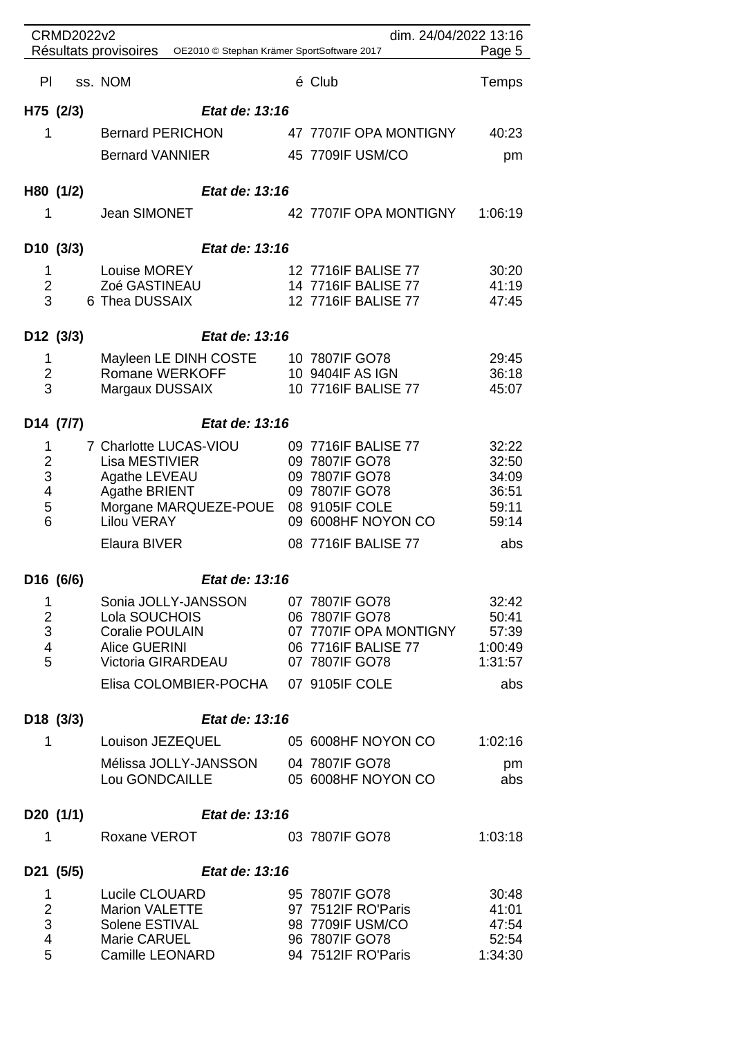|                              | <b>CRMD2022v2</b> |                                                                         | dim. 24/04/2022 13:16                      |                |
|------------------------------|-------------------|-------------------------------------------------------------------------|--------------------------------------------|----------------|
|                              |                   | Résultats provisoires OE2010 © Stephan Krämer SportSoftware 2017        |                                            | Page 5         |
|                              | PI ss. NOM        |                                                                         | é Club                                     | <b>Temps</b>   |
|                              | H75 (2/3)         | Etat de: 13:16                                                          |                                            |                |
| 1                            |                   | <b>Bernard PERICHON</b>                                                 | 47 7707IF OPA MONTIGNY                     | 40:23          |
|                              |                   | <b>Bernard VANNIER</b>                                                  | 45 7709IF USM/CO                           | pm             |
|                              |                   |                                                                         |                                            |                |
|                              | H80 (1/2)         | Etat de: 13:16                                                          |                                            |                |
| 1                            |                   | Jean SIMONET                                                            | 42 7707IF OPA MONTIGNY                     | 1:06:19        |
|                              | D10 (3/3)         | Etat de: 13:16                                                          |                                            |                |
| 1                            |                   | Louise MOREY                                                            | 12 7716IF BALISE 77                        | 30:20          |
| $\overline{2}$<br>3          |                   | Zoé GASTINEAU<br>6 Thea DUSSAIX                                         | 14 7716IF BALISE 77<br>12 7716IF BALISE 77 | 41:19<br>47:45 |
|                              |                   |                                                                         |                                            |                |
|                              | D12 (3/3)         | Etat de: 13:16                                                          |                                            |                |
| 1<br>$\overline{2}$          |                   | Mayleen LE DINH COSTE 10 7807IF GO78<br>Romane WERKOFF 10 9404IF AS IGN |                                            | 29:45<br>36:18 |
| 3                            |                   | Margaux DUSSAIX                                                         | 10 7716IF BALISE 77                        | 45:07          |
|                              | D14 (7/7)         | Etat de: 13:16                                                          |                                            |                |
| 1                            |                   | 7 Charlotte LUCAS-VIOU                                                  | 09 7716IF BALISE 77                        | 32:22          |
| $\mathbf{2}$                 |                   | Lisa MESTIVIER                                                          | 09 7807IF GO78                             | 32:50          |
| 3<br>$\overline{\mathbf{4}}$ |                   | Agathe LEVEAU<br><b>Agathe BRIENT</b>                                   | 09 7807IF GO78<br>09 7807IF GO78           | 34:09<br>36:51 |
| 5                            |                   | Morgane MARQUEZE-POUE 08 9105IF COLE                                    |                                            | 59:11          |
| 6                            |                   | <b>Lilou VERAY</b>                                                      | 09 6008HF NOYON CO                         | 59:14          |
|                              |                   | Elaura BIVER                                                            | 08 7716IF BALISE 77                        | abs            |
|                              | D16 (6/6)         | Etat de: 13:16                                                          |                                            |                |
| 1                            |                   | Sonia JOLLY-JANSSON 07 7807IF GO78                                      |                                            | 32:42          |
| $\mathbf 2$<br>3             |                   | Lola SOUCHOIS<br>Coralie POULAIN 07 7707IF OPA MONTIGNY 57:39           | 06 7807IF GO78                             | 50:41          |
| $\overline{4}$               |                   | <b>Alice GUERINI</b>                                                    | 06 7716IF BALISE 77                        | 1:00:49        |
| 5                            |                   | Victoria GIRARDEAU 07 7807IF GO78                                       |                                            | 1:31:57        |
|                              |                   | Elisa COLOMBIER-POCHA 07 9105IF COLE                                    |                                            | abs            |
|                              | D18 (3/3)         | Etat de: 13:16                                                          |                                            |                |
| $\mathbf{1}$                 |                   | Louison JEZEQUEL 05 6008HF NOYON CO 1:02:16                             |                                            |                |
|                              |                   | Mélissa JOLLY-JANSSON 04 7807IF GO78                                    |                                            | pm             |
|                              |                   | Lou GONDCAILLE 05 6008HF NOYON CO                                       |                                            | abs            |
|                              | D20 (1/1)         | <b>Etat de: 13:16</b>                                                   |                                            |                |
| $\mathbf{1}$                 |                   | Roxane VEROT                                                            | 03 7807IF GO78                             | 1:03:18        |
|                              | D21 (5/5)         | Etat de: 13:16                                                          |                                            |                |
| $\mathbf{1}$                 |                   | Lucile CLOUARD                                                          | 95 7807IF GO78                             | 30:48          |
| $\overline{2}$<br>3          |                   | <b>Marion VALETTE</b><br>Solene ESTIVAL                                 | 97 7512IF RO'Paris<br>98 7709IF USM/CO     | 41:01<br>47:54 |
| $\overline{\mathbf{4}}$      |                   | Marie CARUEL                                                            | 96 7807IF GO78                             | 52:54          |
| 5                            |                   | Camille LEONARD                                                         | 94 7512IF RO'Paris                         | 1:34:30        |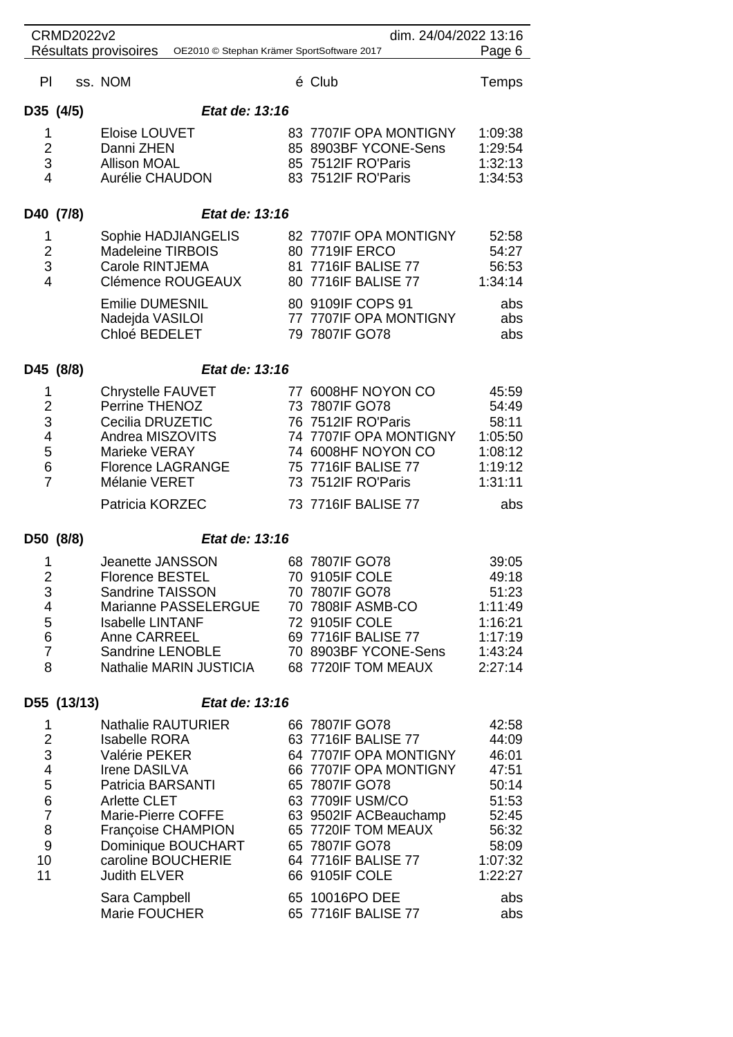| <b>CRMD2022v2</b><br>dim. 24/04/2022 13:16                                                     |                                                                               |                                                                                                                                                                                                                                                |                                                 |  |                                                                                                                                                                                                                                            |                                                                                                     |
|------------------------------------------------------------------------------------------------|-------------------------------------------------------------------------------|------------------------------------------------------------------------------------------------------------------------------------------------------------------------------------------------------------------------------------------------|-------------------------------------------------|--|--------------------------------------------------------------------------------------------------------------------------------------------------------------------------------------------------------------------------------------------|-----------------------------------------------------------------------------------------------------|
|                                                                                                | Résultats provisoires<br>Page 6<br>OE2010 © Stephan Krämer SportSoftware 2017 |                                                                                                                                                                                                                                                |                                                 |  |                                                                                                                                                                                                                                            |                                                                                                     |
| PI                                                                                             |                                                                               | ss. NOM                                                                                                                                                                                                                                        |                                                 |  | é Club                                                                                                                                                                                                                                     | Temps                                                                                               |
| D35 (4/5)                                                                                      |                                                                               |                                                                                                                                                                                                                                                | Etat de: 13:16                                  |  |                                                                                                                                                                                                                                            |                                                                                                     |
| 1<br>$\mathbf 2$<br>$\ensuremath{\mathsf{3}}$<br>4                                             |                                                                               | Eloise LOUVET<br>Danni ZHEN<br><b>Allison MOAL</b><br>Aurélie CHAUDON                                                                                                                                                                          |                                                 |  | 83 7707IF OPA MONTIGNY<br>85 8903BF YCONE-Sens<br>85 7512IF RO'Paris<br>83 7512IF RO'Paris                                                                                                                                                 | 1:09:38<br>1:29:54<br>1:32:13<br>1:34:53                                                            |
| D40 (7/8)                                                                                      |                                                                               |                                                                                                                                                                                                                                                | Etat de: 13:16                                  |  |                                                                                                                                                                                                                                            |                                                                                                     |
| 1<br>$\overline{2}$<br>$\ensuremath{\mathsf{3}}$<br>$\overline{4}$                             |                                                                               | Sophie HADJIANGELIS<br><b>Madeleine TIRBOIS</b><br>Carole RINTJEMA<br>Clémence ROUGEAUX                                                                                                                                                        |                                                 |  | 82 7707IF OPA MONTIGNY<br>80 7719IF ERCO<br>81 7716IF BALISE 77<br>80 7716IF BALISE 77                                                                                                                                                     | 52:58<br>54:27<br>56:53<br>1:34:14                                                                  |
|                                                                                                |                                                                               | <b>Emilie DUMESNIL</b><br>Nadejda VASILOI<br>Chloé BEDELET                                                                                                                                                                                     |                                                 |  | 80 9109IF COPS 91<br>77 7707IF OPA MONTIGNY<br>79 7807IF GO78                                                                                                                                                                              | abs<br>abs<br>abs                                                                                   |
| D45 (8/8)                                                                                      |                                                                               |                                                                                                                                                                                                                                                | Etat de: 13:16                                  |  |                                                                                                                                                                                                                                            |                                                                                                     |
| 1<br>$\overline{2}$<br>3<br>4<br>5<br>$\,$ 6 $\,$<br>$\overline{7}$                            |                                                                               | <b>Chrystelle FAUVET</b><br>Perrine THENOZ<br>Cecilia DRUZETIC<br>Andrea MISZOVITS<br>Marieke VERAY<br><b>Florence LAGRANGE</b><br>Mélanie VERET<br>Patricia KORZEC                                                                            |                                                 |  | 77 6008HF NOYON CO<br>73 7807IF GO78<br>76 7512IF RO'Paris<br>74 7707IF OPA MONTIGNY<br>74 6008HF NOYON CO<br>75 7716IF BALISE 77<br>73 7512IF RO'Paris<br>73 7716IF BALISE 77                                                             | 45:59<br>54:49<br>58:11<br>1:05:50<br>1:08:12<br>1:19:12<br>1:31:11<br>abs                          |
| D50 (8/8)                                                                                      |                                                                               |                                                                                                                                                                                                                                                | Etat de: 13:16                                  |  |                                                                                                                                                                                                                                            |                                                                                                     |
| 1<br>$\overline{2}$<br>3<br>4<br>5<br>$\,6$<br>$\overline{7}$<br>8                             |                                                                               | <b>Jeanette JANSSON</b><br><b>Florence BESTEL</b><br>Sandrine TAISSON<br><b>Isabelle LINTANF</b><br>Anne CARREEL<br>Sandrine LENOBLE                                                                                                           | Marianne PASSELERGUE<br>Nathalie MARIN JUSTICIA |  | 68 7807IF GO78<br>70 9105IF COLE<br>70 7807IF GO78<br>70 7808IF ASMB-CO<br>72 9105IF COLE<br>69 7716IF BALISE 77<br>70 8903BF YCONE-Sens<br>68 7720IF TOM MEAUX                                                                            | 39:05<br>49:18<br>51:23<br>1:11:49<br>1:16:21<br>1:17:19<br>1:43:24<br>2:27:14                      |
|                                                                                                | D55 (13/13)                                                                   |                                                                                                                                                                                                                                                | Etat de: 13:16                                  |  |                                                                                                                                                                                                                                            |                                                                                                     |
| 1<br>$\overline{\mathbf{c}}$<br>3<br>4<br>5<br>$\,6$<br>$\overline{7}$<br>8<br>$9$<br>10<br>11 |                                                                               | <b>Nathalie RAUTURIER</b><br><b>Isabelle RORA</b><br>Valérie PEKER<br>Irene DASILVA<br>Patricia BARSANTI<br><b>Arlette CLET</b><br>Marie-Pierre COFFE<br>Françoise CHAMPION<br>Dominique BOUCHART<br>caroline BOUCHERIE<br><b>Judith ELVER</b> |                                                 |  | 66 7807IF GO78<br>63 7716IF BALISE 77<br>64 7707IF OPA MONTIGNY<br>66 7707IF OPA MONTIGNY<br>65 7807IF GO78<br>63 7709IF USM/CO<br>63 9502IF ACBeauchamp<br>65 7720IF TOM MEAUX<br>65 7807IF GO78<br>64 7716IF BALISE 77<br>66 9105IF COLE | 42:58<br>44:09<br>46:01<br>47:51<br>50:14<br>51:53<br>52:45<br>56:32<br>58:09<br>1:07:32<br>1:22:27 |
|                                                                                                |                                                                               | Sara Campbell<br>Marie FOUCHER                                                                                                                                                                                                                 |                                                 |  | 65 10016PO DEE<br>65 7716IF BALISE 77                                                                                                                                                                                                      | abs<br>abs                                                                                          |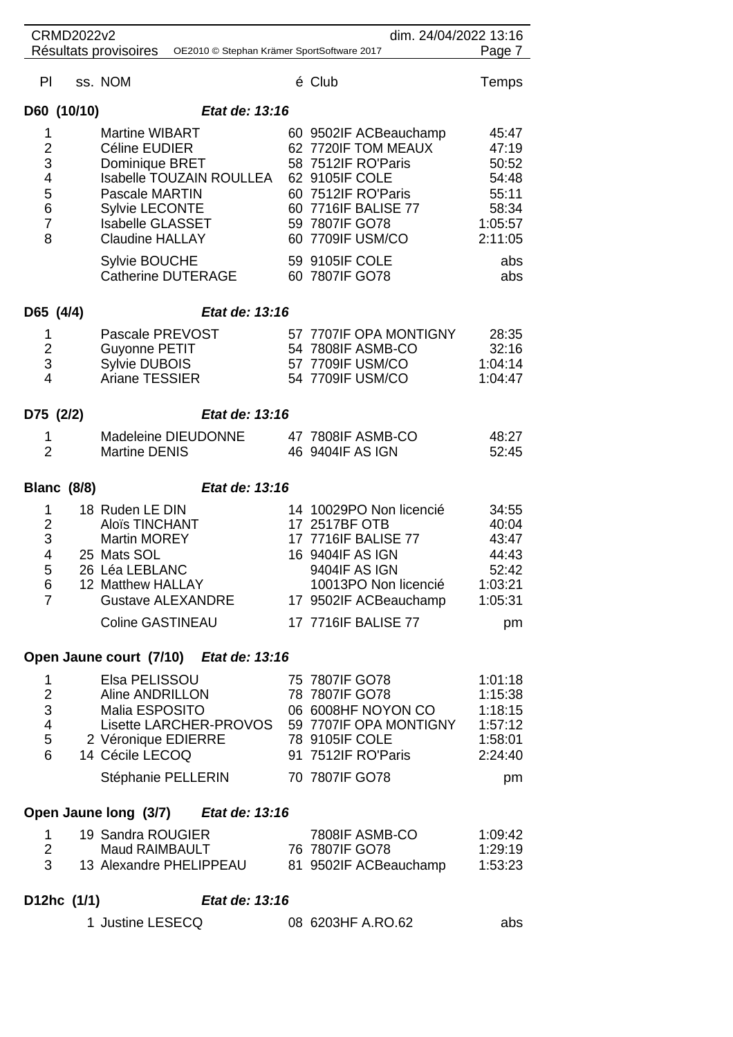| <b>CRMD2022v2</b><br>dim. 24/04/2022 13:16                                   |                                                                            |                                                                                                                                                                                                                             |  |                                                                                                                                                                                                             |                                                                                        |  |
|------------------------------------------------------------------------------|----------------------------------------------------------------------------|-----------------------------------------------------------------------------------------------------------------------------------------------------------------------------------------------------------------------------|--|-------------------------------------------------------------------------------------------------------------------------------------------------------------------------------------------------------------|----------------------------------------------------------------------------------------|--|
|                                                                              | Résultats provisoires OE2010 © Stephan Krämer SportSoftware 2017<br>Page 7 |                                                                                                                                                                                                                             |  |                                                                                                                                                                                                             |                                                                                        |  |
| <b>PI</b>                                                                    |                                                                            | ss. NOM                                                                                                                                                                                                                     |  | é Club                                                                                                                                                                                                      | Temps                                                                                  |  |
|                                                                              | D60 (10/10)                                                                | Etat de: 13:16                                                                                                                                                                                                              |  |                                                                                                                                                                                                             |                                                                                        |  |
| 1<br>$\overline{2}$<br>3<br>4<br>5<br>$6\phantom{1}6$<br>$\overline{7}$<br>8 |                                                                            | <b>Martine WIBART</b><br>Céline EUDIER<br>Dominique BRET<br>Isabelle TOUZAIN ROULLEA<br>Pascale MARTIN<br><b>Sylvie LECONTE</b><br><b>Isabelle GLASSET</b><br><b>Claudine HALLAY</b><br>Sylvie BOUCHE<br>Catherine DUTERAGE |  | 60 9502IF ACBeauchamp<br>62 7720IF TOM MEAUX<br>58 7512IF RO'Paris<br>62 9105IF COLE<br>60 7512IF RO'Paris<br>60 7716IF BALISE 77<br>59 7807IF GO78<br>60 7709IF USM/CO<br>59 9105IF COLE<br>60 7807IF GO78 | 45:47<br>47:19<br>50:52<br>54:48<br>55:11<br>58:34<br>1:05:57<br>2:11:05<br>abs<br>abs |  |
| D65 (4/4)                                                                    |                                                                            | Etat de: 13:16                                                                                                                                                                                                              |  |                                                                                                                                                                                                             |                                                                                        |  |
| 1<br>$\overline{2}$<br>3<br>4                                                |                                                                            | Pascale PREVOST<br>Guyonne PETIT<br>Sylvie DUBOIS<br><b>Ariane TESSIER</b>                                                                                                                                                  |  | 57 7707 IF OPA MONTIGNY<br>54 7808IF ASMB-CO<br>57 7709IF USM/CO<br>54 7709IF USM/CO                                                                                                                        | 28:35<br>32:16<br>1:04:14<br>1:04:47                                                   |  |
| D75 (2/2)                                                                    |                                                                            | Etat de: 13:16                                                                                                                                                                                                              |  |                                                                                                                                                                                                             |                                                                                        |  |
| 1<br>$\overline{2}$                                                          |                                                                            | Madeleine DIEUDONNE<br><b>Martine DENIS</b>                                                                                                                                                                                 |  | 47 7808IF ASMB-CO<br>46 9404IF AS IGN                                                                                                                                                                       | 48:27<br>52:45                                                                         |  |
|                                                                              | <b>Blanc (8/8)</b>                                                         | Etat de: 13:16                                                                                                                                                                                                              |  |                                                                                                                                                                                                             |                                                                                        |  |
| 1<br>$\overline{2}$<br>3<br>4<br>5<br>6<br>$\overline{7}$                    |                                                                            | 18 Ruden LE DIN<br>Aloïs TINCHANT<br><b>Martin MOREY</b><br>25 Mats SOL<br>26 Léa LEBLANC<br>12 Matthew HALLAY<br><b>Gustave ALEXANDRE</b><br>Coline GASTINEAU                                                              |  | 14 10029PO Non licencié<br>17 2517BF OTB<br>17 7716IF BALISE 77<br>16 9404IF AS IGN<br>9404IF AS IGN<br>10013PO Non licencié<br>17 9502IF ACBeauchamp<br>17 7716IF BALISE 77                                | 34:55<br>40:04<br>43:47<br>44:43<br>52:42<br>1:03:21<br>1:05:31<br>pm                  |  |
| Open Jaune court (7/10) Etat de: 13:16                                       |                                                                            |                                                                                                                                                                                                                             |  |                                                                                                                                                                                                             |                                                                                        |  |
| 1<br>$\overline{2}$<br>3<br>4<br>5<br>6                                      |                                                                            | Elsa PELISSOU<br>Aline ANDRILLON<br>Malia ESPOSITO<br>Lisette LARCHER-PROVOS 59 7707IF OPA MONTIGNY<br>2 Véronique EDIERRE<br>14 Cécile LECOQ<br>Stéphanie PELLERIN                                                         |  | 75 7807IF GO78<br>78 7807IF GO78<br>06 6008HF NOYON CO<br>78 9105IF COLE<br>91 7512IF RO'Paris<br>70 7807IF GO78                                                                                            | 1:01:18<br>1:15:38<br>1:18:15<br>1:57:12<br>1:58:01<br>2:24:40<br>pm                   |  |
| Open Jaune long (3/7) Etat de: 13:16                                         |                                                                            |                                                                                                                                                                                                                             |  |                                                                                                                                                                                                             |                                                                                        |  |
|                                                                              |                                                                            | 1 10 Sandra ROUGIER                                                                                                                                                                                                         |  | 7808IE ∆SMR-CO                                                                                                                                                                                              | 1.00.12                                                                                |  |

| 19 Sandra ROUGIER       | 7808IF ASMB-CO        | 1:09:42 |
|-------------------------|-----------------------|---------|
| Maud RAIMBAULT          | 76 7807 IF GO78       | 1:29:19 |
| 13 Alexandre PHELIPPEAU | 81 9502IF ACBeauchamp | 1:53:23 |

| D12hc (1/1) | Etat de: 13:16 |
|-------------|----------------|
|             |                |

| 1 Justine LESECQ | 08 6203HF A.RO.62 | abs |
|------------------|-------------------|-----|
|------------------|-------------------|-----|